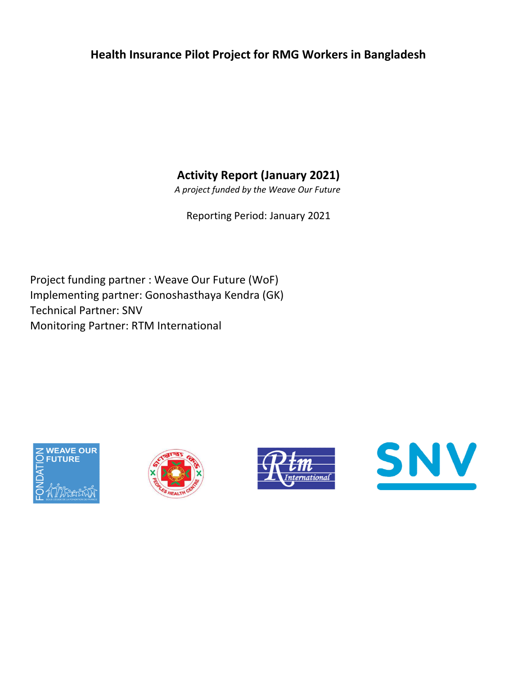## Health Insurance Pilot Project for RMG Workers in Bangladesh

Activity Report (January 2021)

A project funded by the Weave Our Future

Reporting Period: January 2021

Implementing partner: Gonoshasthaya Kendra (GK) Technical Partner: SNV Monitoring Partner: RTM International Project funding partner : Weave Our Future (WoF)







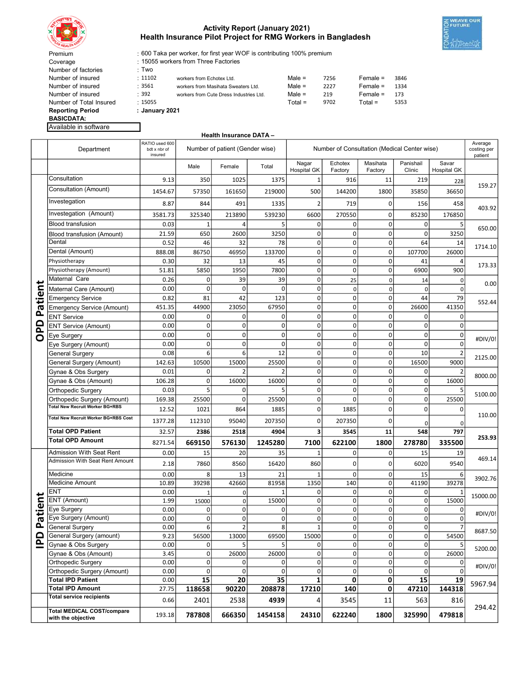

Coverage Number of factories

### Activity Report (January 2021) Health Insurance Pilot Project for RMG Workers in Bangladesh



600 Taka per worker, for first year WOF is contributing 100% premium

15055 workers from Three Factories

| <b>Reporting Period</b> |         |                                         |           |      |            |      |
|-------------------------|---------|-----------------------------------------|-----------|------|------------|------|
| Number of Total Insured | .15055  |                                         | $Total =$ | 9702 | Total =    | 5353 |
| Number of insured       | : 392   | workers from Cute Dress Industries Ltd. | Male $=$  | 219  | $Female =$ | 173  |
| Number of insured       | :3561   | workers from Masihata Sweaters Ltd.     | $Male =$  | 2227 | $Female =$ | 1334 |
| Number of insured       | : 11102 | workers from Echotex Ltd.               | Male $=$  | 7256 | $Female =$ | 3846 |
| Number of factories     | Two     |                                         |           |      |            |      |

Reporting Period BASICDATA:

Available in software

#### Health Insurance DATA –

|              | Department                                              | RATIO used 600<br>bdt x nbr of<br>insured |                | Number of patient (Gender wise) |             | Number of Consultation (Medical Center wise) |                    |                     |                     | Average<br>costing per<br>patient |          |
|--------------|---------------------------------------------------------|-------------------------------------------|----------------|---------------------------------|-------------|----------------------------------------------|--------------------|---------------------|---------------------|-----------------------------------|----------|
|              |                                                         |                                           | Male           | Female                          | Total       | Nagar<br><b>Hospital GK</b>                  | Echotex<br>Factory | Masihata<br>Factory | Panishail<br>Clinic | Savar<br><b>Hospital GK</b>       |          |
|              | Consultation                                            | 9.13                                      | 350            | 1025                            | 1375        | 1                                            | 916                | 11                  | 219                 | 228                               |          |
|              | Consultation (Amount)                                   | 1454.67                                   | 57350          | 161650                          | 219000      | 500                                          | 144200             | 1800                | 35850               | 36650                             | 159.27   |
|              | Investegation                                           | 8.87                                      | 844            | 491                             | 1335        |                                              | 719                | 0                   | 156                 | 458                               |          |
|              | Investegation (Amount)                                  | 3581.73                                   | 325340         | 213890                          | 539230      | 6600                                         | 270550             | $\mathbf 0$         | 85230               | 176850                            | 403.92   |
|              | <b>Blood transfusion</b>                                | 0.03                                      | 1              | 4                               | 5           | 0                                            | $\Omega$           | 0                   | $\mathbf 0$         | 5                                 |          |
|              | Blood transfusion (Amount)                              | 21.59                                     | 650            | 2600                            | 3250        | 0                                            | $\Omega$           | 0                   | $\mathbf 0$         | 3250                              | 650.00   |
|              | Dental                                                  | 0.52                                      | 46             | 32                              | 78          | $\mathbf 0$                                  | $\mathbf 0$        | $\mathbf 0$         | 64                  | 14                                |          |
|              | Dental (Amount)                                         | 888.08                                    | 86750          | 46950                           | 133700      | $\mathbf 0$                                  | $\mathbf 0$        | 0                   | 107700              | 26000                             | 1714.10  |
|              | Physiotherapy                                           | 0.30                                      | 32             | 13                              | 45          | $\mathbf 0$                                  | $\mathbf 0$        | $\mathbf 0$         | 41                  | 4                                 | 173.33   |
|              | Physiotherapy (Amount)                                  | 51.81                                     | 5850           | 1950                            | 7800        | $\mathbf 0$                                  | $\mathbf 0$        | $\mathbf 0$         | 6900                | 900                               |          |
|              | Maternal Care                                           | 0.26                                      | $\mathbf 0$    | 39                              | 39          | $\mathbf 0$                                  | 25                 | 0                   | 14                  | 0                                 | 0.00     |
| Patient      | Maternal Care (Amount)                                  | 0.00                                      | $\Omega$       | $\Omega$                        | $\Omega$    | $\mathbf 0$                                  | $\mathbf 0$        | 0                   | $\Omega$            | 0                                 |          |
|              | <b>Emergency Service</b>                                | 0.82                                      | 81             | 42                              | 123         | 0                                            | $\mathbf 0$        | $\mathbf 0$         | 44                  | 79                                | 552.44   |
|              | <b>Emergency Service (Amount)</b>                       | 451.35                                    | 44900          | 23050                           | 67950       | $\mathbf 0$                                  | $\mathbf 0$        | $\mathbf 0$         | 26600               | 41350                             |          |
|              | <b>ENT Service</b>                                      | 0.00                                      | 0              | 0                               | 0           | $\mathbf 0$                                  | 0                  | $\mathbf 0$         | $\mathbf 0$         | $\Omega$                          |          |
| $\Box$<br>ᅀ  | <b>ENT Service (Amount)</b>                             | 0.00                                      | 0              | 0                               | 0           | $\mathbf 0$                                  | 0                  | 0                   | $\mathbf 0$         | 0                                 |          |
| ō            | Eye Surgery                                             | 0.00                                      | 0              | 0                               | $\mathbf 0$ | $\mathbf 0$                                  | $\mathbf 0$        | $\mathbf 0$         | $\Omega$            | $\mathbf 0$                       | #DIV/0!  |
|              | Eye Surgery (Amount)                                    | 0.00                                      | 0              | 0                               | 0           | 0                                            | $\Omega$           | $\mathbf 0$         | $\Omega$            | $\Omega$                          |          |
|              | General Surgery                                         | 0.08                                      | 6              | 6                               | 12          | $\mathbf 0$                                  | $\mathbf 0$        | $\mathbf 0$         | 10                  |                                   | 2125.00  |
|              | General Surgery (Amount)                                | 142.63                                    | 10500          | 15000                           | 25500       | $\mathbf 0$                                  | $\mathbf 0$        | $\mathbf 0$         | 16500               | 9000                              |          |
|              | Gynae & Obs Surgery                                     | 0.01                                      | $\mathbf 0$    |                                 |             | $\mathbf 0$                                  | 0                  | 0                   | $\mathbf 0$         |                                   | 8000.00  |
|              | Gynae & Obs (Amount)                                    | 106.28                                    | $\mathbf 0$    | 16000                           | 16000       | $\mathbf 0$                                  | $\mathbf 0$        | $\mathbf 0$         | $\mathbf 0$         | 16000                             |          |
|              | Orthopedic Surgery                                      | 0.03                                      | 5              | 0                               | 5           | 0                                            | $\Omega$           | $\mathbf 0$         | $\mathbf 0$         |                                   | 5100.00  |
|              | Orthopedic Surgery (Amount)                             | 169.38                                    | 25500          | 0                               | 25500       | $\mathbf 0$                                  | $\Omega$           | $\mathbf 0$         | $\mathbf 0$         | 25500                             |          |
|              | Total New Recruit Worker BG+RBS                         | 12.52                                     | 1021           | 864                             | 1885        | 0                                            | 1885               | $\mathbf 0$         | $\mathbf 0$         |                                   |          |
|              | Total New Recruit Worker BG+RBS Cost                    | 1377.28                                   | 112310         | 95040                           | 207350      | $\Omega$                                     | 207350             | $\mathbf 0$         | $\Omega$            |                                   | 110.00   |
|              | <b>Total OPD Patient</b>                                | 32.57                                     | 2386           | 2518                            | 4904        | 3                                            | 3545               | 11                  | 548                 | 797                               |          |
|              | <b>Total OPD Amount</b>                                 | 8271.54                                   | 669150         | 576130                          | 1245280     | 7100                                         | 622100             | 1800                | 278780              | 335500                            | 253.93   |
|              | Admission With Seat Rent                                | 0.00                                      | 15             | 20                              | 35          | $\mathbf{1}$                                 | $\mathbf 0$        | $\mathbf 0$         | 15                  | 19                                |          |
|              | Admission With Seat Rent Amount                         | 2.18                                      | 7860           | 8560                            | 16420       | 860                                          | $\Omega$           | 0                   | 6020                | 9540                              | 469.14   |
|              | Medicine                                                | 0.00                                      | 8              | 13                              | 21          |                                              | $\Omega$           | $\mathbf 0$         | 15                  |                                   |          |
|              | <b>Medicine Amount</b>                                  | 10.89                                     | 39298          | 42660                           | 81958       | 1350                                         | 140                | $\mathbf 0$         | 41190               | 6<br>39278                        | 3902.76  |
|              | ENT                                                     | 0.00                                      | $\overline{1}$ | 0                               |             | $\Omega$                                     | $\Omega$           | $\mathbf 0$         | 0                   |                                   |          |
| ⊷            | ENT (Amount)                                            | 1.99                                      | 15000          | 0                               | 15000       | $\mathbf 0$                                  | $\mathbf 0$        | $\mathbf 0$         | $\mathbf 0$         | 15000                             | 15000.00 |
| tient        | Eye Surgery                                             | 0.00                                      | $\mathbf 0$    | 0                               | $\mathbf 0$ | 0                                            | 0                  | 0                   | $\mathbf 0$         | 0                                 |          |
| ൹            | Eye Surgery (Amount)                                    | 0.00                                      | 0              | 0                               | $\Omega$    | $\mathbf 0$                                  | $\Omega$           | 0                   | $\Omega$            | 0                                 | #DIV/0!  |
| ௨            | <b>General Surgery</b>                                  | 0.00                                      | 6              | $\overline{2}$                  | 8           | $\mathbf 1$                                  | $\mathbf 0$        | 0                   | $\pmb{0}$           | 7                                 |          |
| $\Omega$     | General Surgery (amount)                                | 9.23                                      | 56500          | 13000                           | 69500       | 15000                                        | $\mathbf 0$        | $\mathbf 0$         | $\mathbf 0$         | 54500                             | 8687.50  |
| $\mathbf{r}$ | Gynae & Obs Surgery                                     | 0.00                                      | $\pmb{0}$      | 5                               | 5           | 0                                            | 0                  | 0                   | $\mathbf 0$         | 5                                 | 5200.00  |
|              | Gynae & Obs (Amount)                                    | 3.45                                      | $\mathbf 0$    | 26000                           | 26000       | 0                                            | 0                  | 0                   | 0                   | 26000                             |          |
|              | Orthopedic Surgery                                      | 0.00                                      | $\pmb{0}$      | 0                               | 0           | $\pmb{0}$                                    | 0                  | 0                   | $\pmb{0}$           | 0                                 | #DIV/0!  |
|              | Orthopedic Surgery (Amount)                             | 0.00                                      | $\mathbf 0$    | $\Omega$                        | $\Omega$    | 0                                            | $\mathbf 0$        | 0                   | $\Omega$            | $\mathbf 0$                       |          |
|              | <b>Total IPD Patient</b>                                | 0.00                                      | 15             | 20                              | 35          | 1                                            | 0                  | 0                   | 15                  | 19                                | 5967.94  |
|              | <b>Total IPD Amount</b>                                 | 27.75                                     | 118658         | 90220                           | 208878      | 17210                                        | 140                | 0                   | 47210               | 144318                            |          |
|              | <b>Total service recipients</b>                         | 0.66                                      | 2401           | 2538                            | 4939        | 4                                            | 3545               | 11                  | 563                 | 816                               |          |
|              | <b>Total MEDICAL COST/compare</b><br>with the objective | 193.18                                    | 787808         | 666350                          | 1454158     | 24310                                        | 622240             | 1800                | 325990              | 479818                            | 294.42   |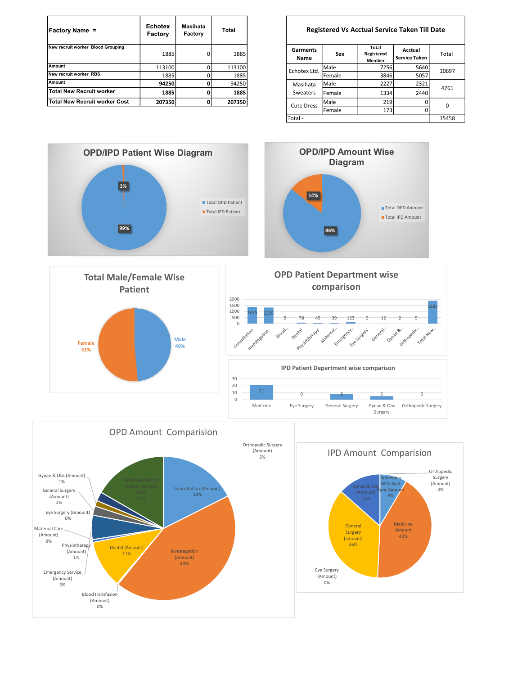| <b>Factory Name =</b>             | <b>Echotex</b><br>Factory | Masihata<br>Factory | Total  |                  |        | <b>Registered Vs Acctual Service Taken Till</b> |                                 |
|-----------------------------------|---------------------------|---------------------|--------|------------------|--------|-------------------------------------------------|---------------------------------|
| New recruit worker Blood Grouping | 1885                      |                     | 1885   | Garments<br>Name | Sex    | Total<br>Registered<br>Member                   | Acctual<br><b>Service Taken</b> |
| Amount                            | 113100                    |                     | 113100 | Echotex Ltd.     | Male   | 7256                                            | 5640                            |
| New recruit worker RBS            | 1885                      |                     | 1885   |                  | Female | 3846                                            | 5057                            |
| Amount                            | 94250                     |                     | 94250  | Masihata         | Male   | 2227                                            | 2321                            |
| Total New Recruit worker          | 1885                      |                     | 1885   | Sweaters         | Female | 1334                                            | 2440                            |
| Total New Recruit worker Cost     | 207350                    |                     | 207350 | Cute Dress       | Male   | 219                                             | $\Omega$                        |

#### Registered Vs Acctual Service Taken Till Date

| Garments<br>Name  | Sex    | <b>Total</b><br>Acctual<br>Registered<br><b>Service Taken</b><br><b>Member</b> |      | Total |  |
|-------------------|--------|--------------------------------------------------------------------------------|------|-------|--|
| Echotex Ltd.      | Male   | 7256                                                                           | 5640 | 10697 |  |
|                   | Female | 3846                                                                           | 5057 |       |  |
| Masihata          | Male   | 2227                                                                           | 2321 |       |  |
| <b>Sweaters</b>   | Female | 1334                                                                           | 2440 | 4761  |  |
| <b>Cute Dress</b> | Male   | 219                                                                            |      | 0     |  |
|                   | Female | 173                                                                            | О    |       |  |
| Total -           |        |                                                                                |      | 15458 |  |

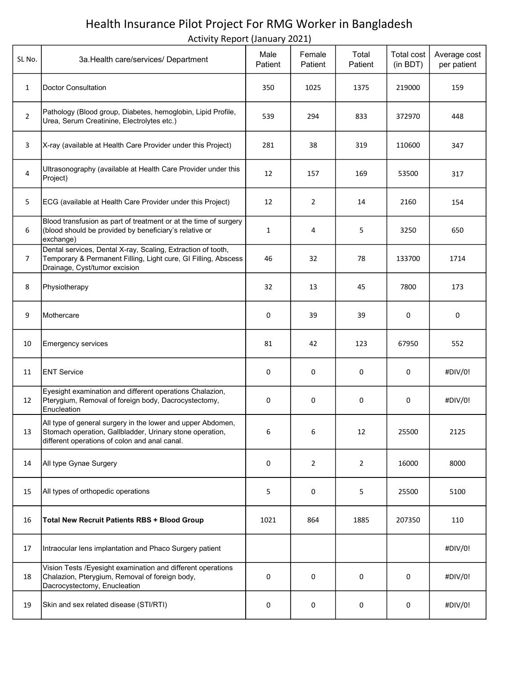# Health Insurance Pilot Project For RMG Worker in Bangladesh

Activity Report (January 2021)

| SL No.         | 3a. Health care/services/ Department                                                                                                                                     | Male<br>Patient | Female<br>Patient | Total<br>Patient | Total cost<br>(in BDT) | Average cost<br>per patient |
|----------------|--------------------------------------------------------------------------------------------------------------------------------------------------------------------------|-----------------|-------------------|------------------|------------------------|-----------------------------|
| 1              | Doctor Consultation                                                                                                                                                      | 350             | 1025              | 1375             | 219000                 | 159                         |
| $\overline{2}$ | Pathology (Blood group, Diabetes, hemoglobin, Lipid Profile,<br>Urea, Serum Creatinine, Electrolytes etc.)                                                               | 539             | 294               | 833              | 372970                 | 448                         |
| 3              | X-ray (available at Health Care Provider under this Project)                                                                                                             | 281             | 38                | 319              | 110600                 | 347                         |
| 4              | Ultrasonography (available at Health Care Provider under this<br>Project)                                                                                                | 12              | 157               | 169              | 53500                  | 317                         |
| 5              | ECG (available at Health Care Provider under this Project)                                                                                                               | 12              | $\overline{2}$    | 14               | 2160                   | 154                         |
| 6              | Blood transfusion as part of treatment or at the time of surgery<br>(blood should be provided by beneficiary's relative or<br>exchange)                                  | 1               | 4                 | 5                | 3250                   | 650                         |
| $\overline{7}$ | Dental services, Dental X-ray, Scaling, Extraction of tooth,<br>Temporary & Permanent Filling, Light cure, GI Filling, Abscess<br>Drainage, Cyst/tumor excision          | 46              | 32                | 78               | 133700                 | 1714                        |
| 8              | Physiotherapy                                                                                                                                                            | 32              | 13                | 45               | 7800                   | 173                         |
| 9              | Mothercare                                                                                                                                                               | 0               | 39                | 39               | 0                      | 0                           |
| 10             | Emergency services                                                                                                                                                       | 81              | 42                | 123              | 67950                  | 552                         |
| 11             | <b>ENT Service</b>                                                                                                                                                       | 0               | 0                 | 0                | 0                      | #DIV/0!                     |
| 12             | Eyesight examination and different operations Chalazion,<br>Pterygium, Removal of foreign body, Dacrocystectomy,<br>Enucleation                                          | 0               | 0                 | 0                | 0                      | #DIV/0!                     |
| 13             | All type of general surgery in the lower and upper Abdomen,<br>Stomach operation, Gallbladder, Urinary stone operation,<br>different operations of colon and anal canal. | 6               | 6                 | 12               | 25500                  | 2125                        |
| 14             | All type Gynae Surgery                                                                                                                                                   | 0               | $\overline{2}$    | $\overline{2}$   | 16000                  | 8000                        |
| 15             | All types of orthopedic operations                                                                                                                                       | 5               | 0                 | 5                | 25500                  | 5100                        |
| 16             | <b>Total New Recruit Patients RBS + Blood Group</b>                                                                                                                      | 1021            | 864               | 1885             | 207350                 | 110                         |
| 17             | Intraocular lens implantation and Phaco Surgery patient                                                                                                                  |                 |                   |                  |                        | #DIV/0!                     |
| 18             | Vision Tests / Eyesight examination and different operations<br>Chalazion, Pterygium, Removal of foreign body,<br>Dacrocystectomy, Enucleation                           | 0               | 0                 | 0                | 0                      | #DIV/0!                     |
| 19             | Skin and sex related disease (STI/RTI)                                                                                                                                   | 0               | 0                 | 0                | 0                      | #DIV/0!                     |